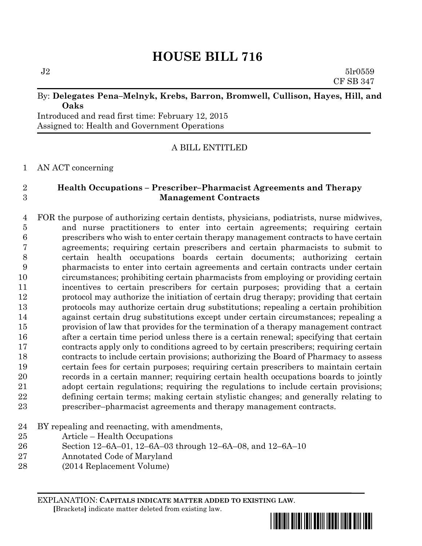# **HOUSE BILL 716**

 $J2 \hspace{2.5cm} 5\text{lr}0559$ CF SB 347

# By: **Delegates Pena–Melnyk, Krebs, Barron, Bromwell, Cullison, Hayes, Hill, and Oaks**

Introduced and read first time: February 12, 2015 Assigned to: Health and Government Operations

# A BILL ENTITLED

AN ACT concerning

# **Health Occupations – Prescriber–Pharmacist Agreements and Therapy Management Contracts**

 FOR the purpose of authorizing certain dentists, physicians, podiatrists, nurse midwives, and nurse practitioners to enter into certain agreements; requiring certain prescribers who wish to enter certain therapy management contracts to have certain agreements; requiring certain prescribers and certain pharmacists to submit to certain health occupations boards certain documents; authorizing certain pharmacists to enter into certain agreements and certain contracts under certain circumstances; prohibiting certain pharmacists from employing or providing certain incentives to certain prescribers for certain purposes; providing that a certain protocol may authorize the initiation of certain drug therapy; providing that certain protocols may authorize certain drug substitutions; repealing a certain prohibition against certain drug substitutions except under certain circumstances; repealing a provision of law that provides for the termination of a therapy management contract after a certain time period unless there is a certain renewal; specifying that certain contracts apply only to conditions agreed to by certain prescribers; requiring certain contracts to include certain provisions; authorizing the Board of Pharmacy to assess certain fees for certain purposes; requiring certain prescribers to maintain certain records in a certain manner; requiring certain health occupations boards to jointly adopt certain regulations; requiring the regulations to include certain provisions; defining certain terms; making certain stylistic changes; and generally relating to prescriber–pharmacist agreements and therapy management contracts.

- BY repealing and reenacting, with amendments,
- Article Health Occupations
- Section 12–6A–01, 12–6A–03 through 12–6A–08, and 12–6A–10
- Annotated Code of Maryland
- (2014 Replacement Volume)

EXPLANATION: **CAPITALS INDICATE MATTER ADDED TO EXISTING LAW**.  **[**Brackets**]** indicate matter deleted from existing law.

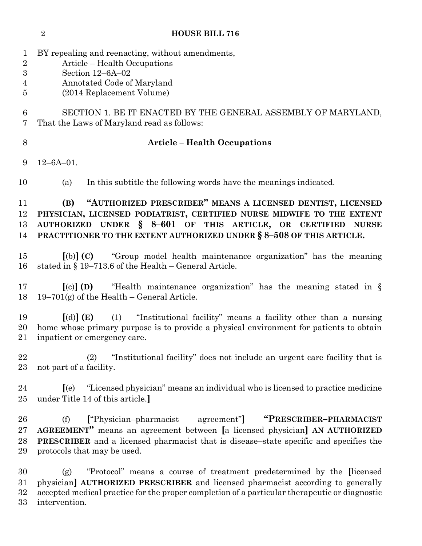BY repealing and reenacting, without amendments, Article – Health Occupations Section 12–6A–02 Annotated Code of Maryland (2014 Replacement Volume) SECTION 1. BE IT ENACTED BY THE GENERAL ASSEMBLY OF MARYLAND, That the Laws of Maryland read as follows: **Article – Health Occupations** 12–6A–01. (a) In this subtitle the following words have the meanings indicated. **(B) "AUTHORIZED PRESCRIBER" MEANS A LICENSED DENTIST, LICENSED PHYSICIAN, LICENSED PODIATRIST, CERTIFIED NURSE MIDWIFE TO THE EXTENT AUTHORIZED UNDER § 8–601 OF THIS ARTICLE, OR CERTIFIED NURSE PRACTITIONER TO THE EXTENT AUTHORIZED UNDER § 8–508 OF THIS ARTICLE. [**(b)**] (C)** "Group model health maintenance organization" has the meaning stated in § 19–713.6 of the Health – General Article. **[**(c)**] (D)** "Health maintenance organization" has the meaning stated in § 18 19–701(g) of the Health – General Article. **[**(d)**] (E)** (1) "Institutional facility" means a facility other than a nursing home whose primary purpose is to provide a physical environment for patients to obtain inpatient or emergency care. (2) "Institutional facility" does not include an urgent care facility that is not part of a facility. **[**(e) "Licensed physician" means an individual who is licensed to practice medicine under Title 14 of this article.**]** (f) **[**"Physician–pharmacist agreement"**] "PRESCRIBER–PHARMACIST AGREEMENT"** means an agreement between **[**a licensed physician**] AN AUTHORIZED PRESCRIBER** and a licensed pharmacist that is disease–state specific and specifies the protocols that may be used. (g) "Protocol" means a course of treatment predetermined by the **[**licensed physician**] AUTHORIZED PRESCRIBER** and licensed pharmacist according to generally accepted medical practice for the proper completion of a particular therapeutic or diagnostic intervention.

**HOUSE BILL 716**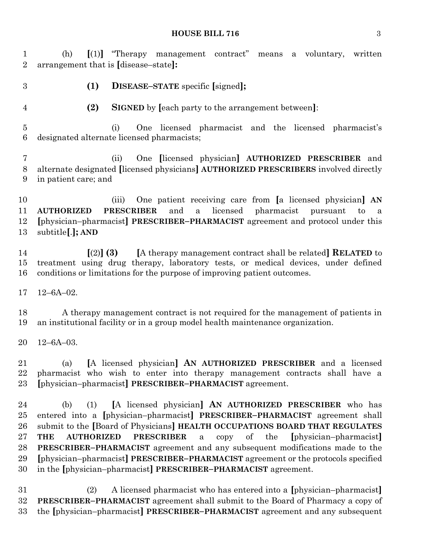#### **HOUSE BILL 716** 3

 (h) **[**(1)**]** "Therapy management contract" means a voluntary, written arrangement that is **[**disease–state**]:**

**(1) DISEASE–STATE** specific **[**signed**];**

**(2) SIGNED** by **[**each party to the arrangement between**]**:

 (i) One licensed pharmacist and the licensed pharmacist's designated alternate licensed pharmacists;

 (ii) One **[**licensed physician**] AUTHORIZED PRESCRIBER** and alternate designated **[**licensed physicians**] AUTHORIZED PRESCRIBERS** involved directly in patient care; and

 (iii) One patient receiving care from **[**a licensed physician**] AN AUTHORIZED PRESCRIBER** and a licensed pharmacist pursuant to a **[**physician–pharmacist**] PRESCRIBER–PHARMACIST** agreement and protocol under this subtitle**[**.**]; AND**

 **[**(2)**] (3) [**A therapy management contract shall be related**] RELATED** to treatment using drug therapy, laboratory tests, or medical devices, under defined conditions or limitations for the purpose of improving patient outcomes.

12–6A–02.

 A therapy management contract is not required for the management of patients in an institutional facility or in a group model health maintenance organization.

12–6A–03.

 (a) **[**A licensed physician**] AN AUTHORIZED PRESCRIBER** and a licensed pharmacist who wish to enter into therapy management contracts shall have a **[**physician–pharmacist**] PRESCRIBER–PHARMACIST** agreement.

 (b) (1) **[**A licensed physician**] AN AUTHORIZED PRESCRIBER** who has entered into a **[**physician–pharmacist**] PRESCRIBER–PHARMACIST** agreement shall submit to the **[**Board of Physicians**] HEALTH OCCUPATIONS BOARD THAT REGULATES THE AUTHORIZED PRESCRIBER** a copy of the **[**physician–pharmacist**] PRESCRIBER–PHARMACIST** agreement and any subsequent modifications made to the **[**physician–pharmacist**] PRESCRIBER–PHARMACIST** agreement or the protocols specified in the **[**physician–pharmacist**] PRESCRIBER–PHARMACIST** agreement.

 (2) A licensed pharmacist who has entered into a **[**physician–pharmacist**] PRESCRIBER–PHARMACIST** agreement shall submit to the Board of Pharmacy a copy of the **[**physician–pharmacist**] PRESCRIBER–PHARMACIST** agreement and any subsequent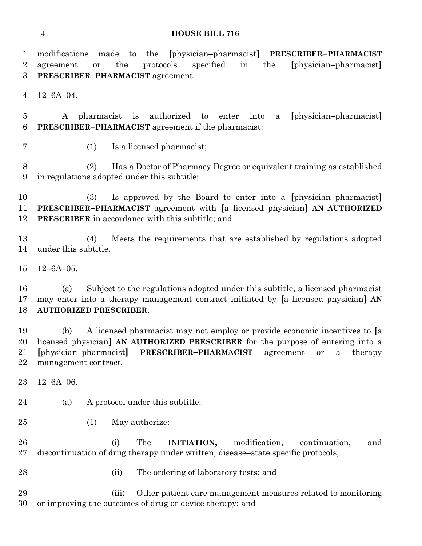#### **HOUSE BILL 716**

 modifications made to the **[**physician–pharmacist**] PRESCRIBER–PHARMACIST** agreement or the protocols specified in the **[**physician–pharmacist**] PRESCRIBER–PHARMACIST** agreement. 12–6A–04. A pharmacist is authorized to enter into a **[**physician–pharmacist**] PRESCRIBER–PHARMACIST** agreement if the pharmacist: (1) Is a licensed pharmacist; (2) Has a Doctor of Pharmacy Degree or equivalent training as established in regulations adopted under this subtitle; (3) Is approved by the Board to enter into a **[**physician–pharmacist**] PRESCRIBER–PHARMACIST** agreement with **[**a licensed physician**] AN AUTHORIZED PRESCRIBER** in accordance with this subtitle; and (4) Meets the requirements that are established by regulations adopted under this subtitle. 12–6A–05. (a) Subject to the regulations adopted under this subtitle, a licensed pharmacist may enter into a therapy management contract initiated by **[**a licensed physician**] AN AUTHORIZED PRESCRIBER**. (b) A licensed pharmacist may not employ or provide economic incentives to **[**a licensed physician**] AN AUTHORIZED PRESCRIBER** for the purpose of entering into a **[**physician–pharmacist**] PRESCRIBER–PHARMACIST** agreement or a therapy management contract. 12–6A–06. (a) A protocol under this subtitle: (1) May authorize: (i) The **INITIATION,** modification, continuation, and discontinuation of drug therapy under written, disease–state specific protocols; (ii) The ordering of laboratory tests; and (iii) Other patient care management measures related to monitoring or improving the outcomes of drug or device therapy; and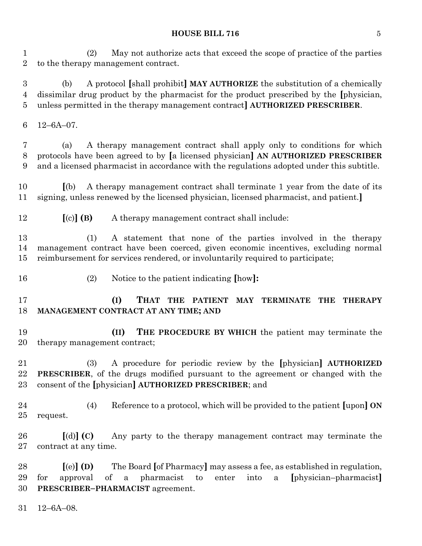### **HOUSE BILL 716** 5

 (2) May not authorize acts that exceed the scope of practice of the parties to the therapy management contract.

 (b) A protocol **[**shall prohibit**] MAY AUTHORIZE** the substitution of a chemically dissimilar drug product by the pharmacist for the product prescribed by the **[**physician, unless permitted in the therapy management contract**] AUTHORIZED PRESCRIBER**.

12–6A–07.

 (a) A therapy management contract shall apply only to conditions for which protocols have been agreed to by **[**a licensed physician**] AN AUTHORIZED PRESCRIBER** and a licensed pharmacist in accordance with the regulations adopted under this subtitle.

 **[**(b) A therapy management contract shall terminate 1 year from the date of its signing, unless renewed by the licensed physician, licensed pharmacist, and patient.**]**

**[**(c)**] (B)** A therapy management contract shall include:

 (1) A statement that none of the parties involved in the therapy management contract have been coerced, given economic incentives, excluding normal reimbursement for services rendered, or involuntarily required to participate;

- 
- (2) Notice to the patient indicating **[**how**]:**

 **(I) THAT THE PATIENT MAY TERMINATE THE THERAPY MANAGEMENT CONTRACT AT ANY TIME; AND**

 **(II) THE PROCEDURE BY WHICH** the patient may terminate the therapy management contract;

 (3) A procedure for periodic review by the **[**physician**] AUTHORIZED PRESCRIBER**, of the drugs modified pursuant to the agreement or changed with the consent of the **[**physician**] AUTHORIZED PRESCRIBER**; and

 (4) Reference to a protocol, which will be provided to the patient **[**upon**] ON** request.

 **[**(d)**] (C)** Any party to the therapy management contract may terminate the contract at any time.

 **[**(e)**] (D)** The Board **[**of Pharmacy**]** may assess a fee, as established in regulation, for approval of a pharmacist to enter into a **[**physician–pharmacist**] PRESCRIBER–PHARMACIST** agreement.

12–6A–08.